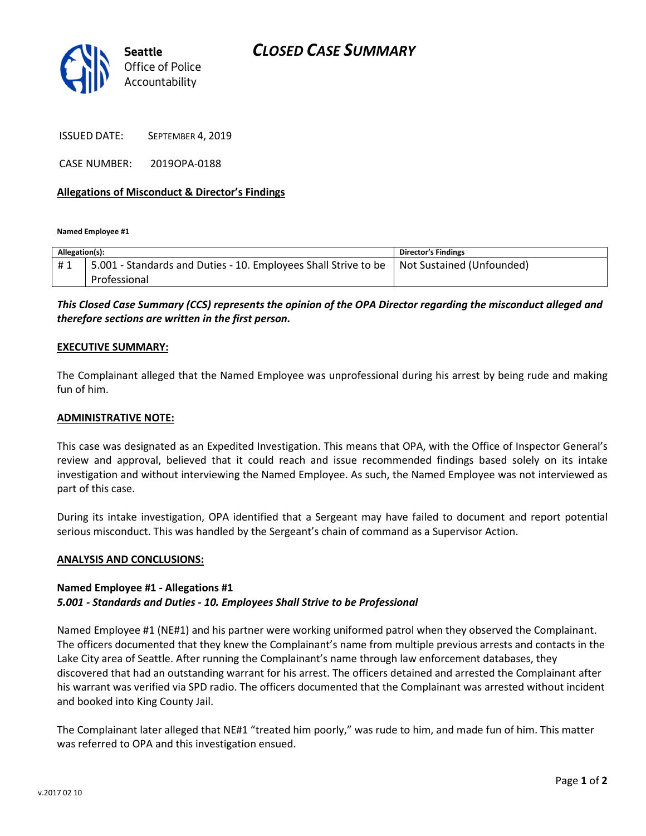



ISSUED DATE: SEPTEMBER 4, 2019

CASE NUMBER: 2019OPA-0188

## Allegations of Misconduct & Director's Findings

Named Employee #1

| Allegation(s): |                                                                                             | <b>Director's Findings</b> |
|----------------|---------------------------------------------------------------------------------------------|----------------------------|
| #1             | 5.001 - Standards and Duties - 10. Employees Shall Strive to be   Not Sustained (Unfounded) |                            |
|                | Professional                                                                                |                            |

This Closed Case Summary (CCS) represents the opinion of the OPA Director regarding the misconduct alleged and therefore sections are written in the first person.

#### EXECUTIVE SUMMARY:

The Complainant alleged that the Named Employee was unprofessional during his arrest by being rude and making fun of him.

#### ADMINISTRATIVE NOTE:

This case was designated as an Expedited Investigation. This means that OPA, with the Office of Inspector General's review and approval, believed that it could reach and issue recommended findings based solely on its intake investigation and without interviewing the Named Employee. As such, the Named Employee was not interviewed as part of this case.

During its intake investigation, OPA identified that a Sergeant may have failed to document and report potential serious misconduct. This was handled by the Sergeant's chain of command as a Supervisor Action.

## ANALYSIS AND CONCLUSIONS:

## Named Employee #1 - Allegations #1 5.001 - Standards and Duties - 10. Employees Shall Strive to be Professional

Named Employee #1 (NE#1) and his partner were working uniformed patrol when they observed the Complainant. The officers documented that they knew the Complainant's name from multiple previous arrests and contacts in the Lake City area of Seattle. After running the Complainant's name through law enforcement databases, they discovered that had an outstanding warrant for his arrest. The officers detained and arrested the Complainant after his warrant was verified via SPD radio. The officers documented that the Complainant was arrested without incident and booked into King County Jail.

The Complainant later alleged that NE#1 "treated him poorly," was rude to him, and made fun of him. This matter was referred to OPA and this investigation ensued.